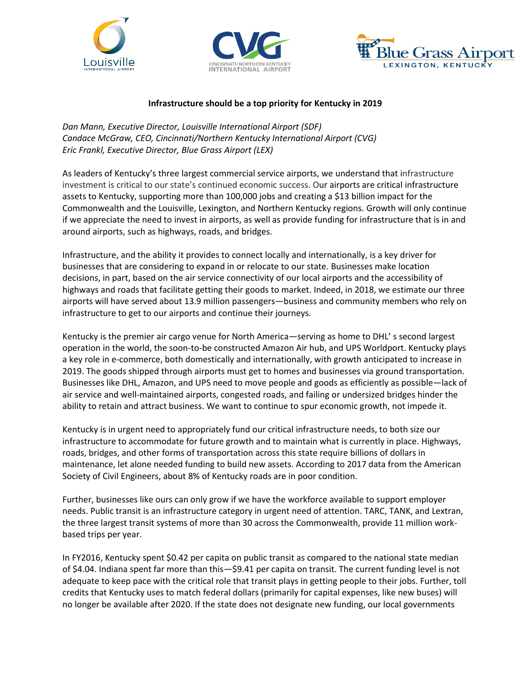





## **Infrastructure should be a top priority for Kentucky in 2019**

*Dan Mann, Executive Director, Louisville International Airport (SDF) Candace McGraw, CEO, Cincinnati/Northern Kentucky International Airport (CVG) Eric Frankl, Executive Director, Blue Grass Airport (LEX)* 

As leaders of Kentucky's three largest commercial service airports, we understand that infrastructure investment is critical to our state's continued economic success. Our airports are critical infrastructure assets to Kentucky, supporting more than 100,000 jobs and creating a \$13 billion impact for the Commonwealth and the Louisville, Lexington, and Northern Kentucky regions. Growth will only continue if we appreciate the need to invest in airports, as well as provide funding for infrastructure that is in and around airports, such as highways, roads, and bridges.

Infrastructure, and the ability it provides to connect locally and internationally, is a key driver for businesses that are considering to expand in or relocate to our state. Businesses make location decisions, in part, based on the air service connectivity of our local airports and the accessibility of highways and roads that facilitate getting their goods to market. Indeed, in 2018, we estimate our three airports will have served about 13.9 million passengers—business and community members who rely on infrastructure to get to our airports and continue their journeys.

Kentucky is the premier air cargo venue for North America—serving as home to DHL' s second largest operation in the world, the soon-to-be constructed Amazon Air hub, and UPS Worldport. Kentucky plays a key role in e-commerce, both domestically and internationally, with growth anticipated to increase in 2019. The goods shipped through airports must get to homes and businesses via ground transportation. Businesses like DHL, Amazon, and UPS need to move people and goods as efficiently as possible—lack of air service and well-maintained airports, congested roads, and failing or undersized bridges hinder the ability to retain and attract business. We want to continue to spur economic growth, not impede it.

Kentucky is in urgent need to appropriately fund our critical infrastructure needs, to both size our infrastructure to accommodate for future growth and to maintain what is currently in place. Highways, roads, bridges, and other forms of transportation across this state require billions of dollars in maintenance, let alone needed funding to build new assets. According to 2017 data from the American Society of Civil Engineers, about 8% of Kentucky roads are in poor condition.

Further, businesses like ours can only grow if we have the workforce available to support employer needs. Public transit is an infrastructure category in urgent need of attention. TARC, TANK, and Lextran, the three largest transit systems of more than 30 across the Commonwealth, provide 11 million workbased trips per year.

In FY2016, Kentucky spent \$0.42 per capita on public transit as compared to the national state median of \$4.04. Indiana spent far more than this—\$9.41 per capita on transit. The current funding level is not adequate to keep pace with the critical role that transit plays in getting people to their jobs. Further, toll credits that Kentucky uses to match federal dollars (primarily for capital expenses, like new buses) will no longer be available after 2020. If the state does not designate new funding, our local governments